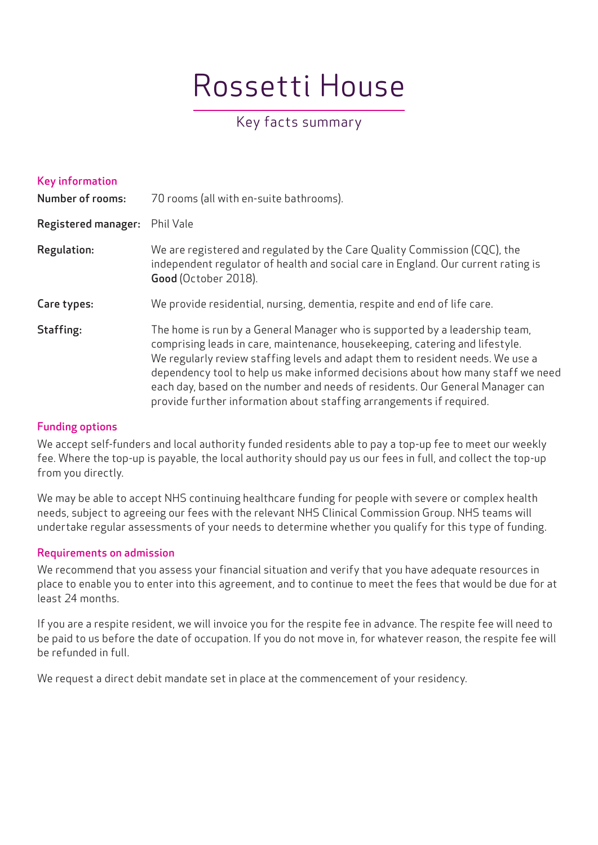# Rossetti House

# Key facts summary

| <b>Key information</b><br><b>Number of rooms:</b> | 70 rooms (all with en-suite bathrooms).                                                                                                                                                                                                                                                                                                                                                                                                                                                   |
|---------------------------------------------------|-------------------------------------------------------------------------------------------------------------------------------------------------------------------------------------------------------------------------------------------------------------------------------------------------------------------------------------------------------------------------------------------------------------------------------------------------------------------------------------------|
| <b>Registered manager:</b>                        | Phil Vale                                                                                                                                                                                                                                                                                                                                                                                                                                                                                 |
| Regulation:                                       | We are registered and regulated by the Care Quality Commission (CQC), the<br>independent regulator of health and social care in England. Our current rating is<br>Good (October 2018).                                                                                                                                                                                                                                                                                                    |
| Care types:                                       | We provide residential, nursing, dementia, respite and end of life care.                                                                                                                                                                                                                                                                                                                                                                                                                  |
| Staffing:                                         | The home is run by a General Manager who is supported by a leadership team,<br>comprising leads in care, maintenance, housekeeping, catering and lifestyle.<br>We regularly review staffing levels and adapt them to resident needs. We use a<br>dependency tool to help us make informed decisions about how many staff we need<br>each day, based on the number and needs of residents. Our General Manager can<br>provide further information about staffing arrangements if required. |

### Funding options

We accept self-funders and local authority funded residents able to pay a top-up fee to meet our weekly fee. Where the top-up is payable, the local authority should pay us our fees in full, and collect the top-up from you directly.

We may be able to accept NHS continuing healthcare funding for people with severe or complex health needs, subject to agreeing our fees with the relevant NHS Clinical Commission Group. NHS teams will undertake regular assessments of your needs to determine whether you qualify for this type of funding.

# Requirements on admission

We recommend that you assess your financial situation and verify that you have adequate resources in place to enable you to enter into this agreement, and to continue to meet the fees that would be due for at least 24 months.

If you are a respite resident, we will invoice you for the respite fee in advance. The respite fee will need to be paid to us before the date of occupation. If you do not move in, for whatever reason, the respite fee will be refunded in full.

We request a direct debit mandate set in place at the commencement of your residency.